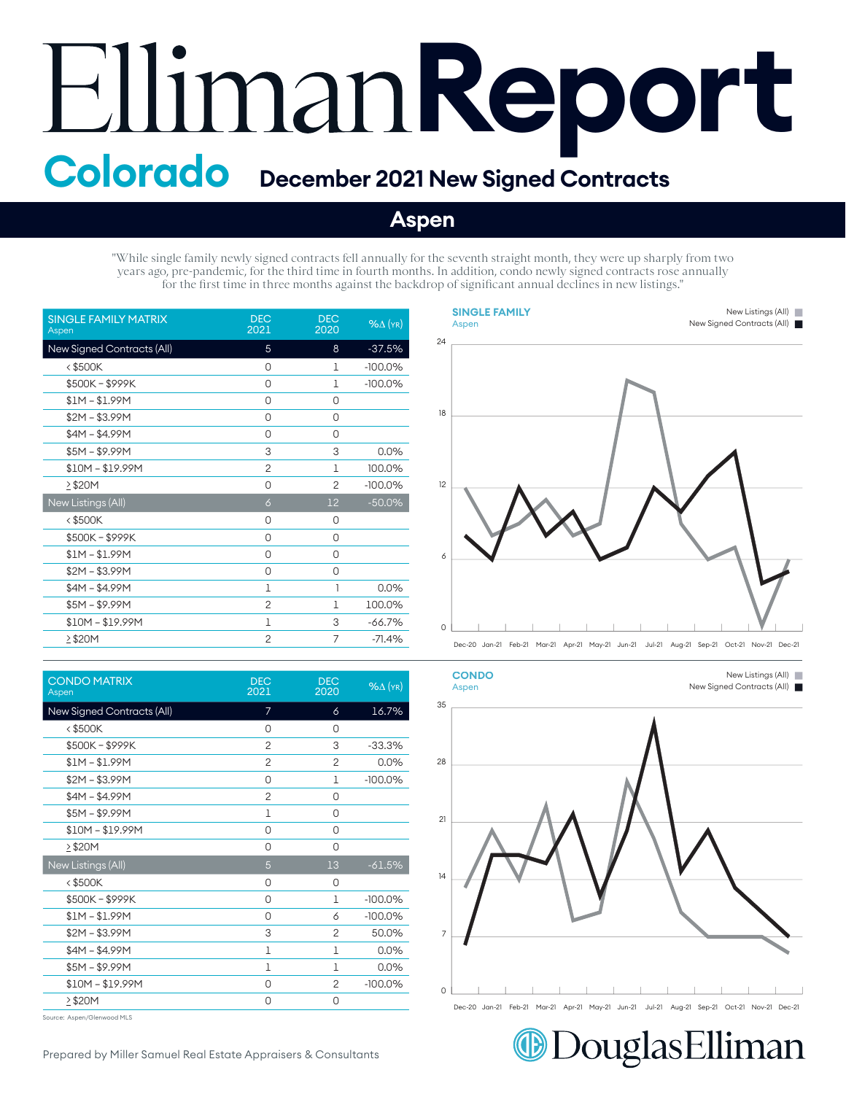## **Report Colorado December 2021 New Signed Contracts**

## **Aspen**

"While single family newly signed contracts fell annually for the seventh straight month, they were up sharply from two years ago, pre-pandemic, for the third time in fourth months. In addition, condo newly signed contracts rose annually for the first time in three months against the backdrop of significant annual declines in new listings."

| <b>SINGLE FAMILY MATRIX</b><br>Aspen | <b>DEC</b><br>2021 | <b>DEC</b><br>2020 | $%$ $\Delta$ (YR) |
|--------------------------------------|--------------------|--------------------|-------------------|
| New Signed Contracts (All)           | 5                  | 8                  | $-37.5%$          |
| $<$ \$500K                           | 0                  | 1                  | $-100.0\%$        |
| \$500K-\$999K                        | 0                  | 1                  | $-100.0%$         |
| $$1M - $1.99M$                       | 0                  | 0                  |                   |
| $$2M - $3.99M$                       | 0                  | 0                  |                   |
| $$4M - $4.99M$                       | 0                  | 0                  |                   |
| $$5M - $9.99M$                       | 3                  | 3                  | 0.0%              |
| $$10M - $19.99M$                     | $\overline{c}$     | 1                  | 100.0%            |
| >\$20M                               | 0                  | $\overline{2}$     | $-100.0%$         |
| New Listings (All)                   | $\delta$           | 12                 | $-50.0%$          |
| <\$500K                              | 0                  | 0                  |                   |
| \$500K-\$999K                        | 0                  | 0                  |                   |
| $$1M - $1.99M$                       | 0                  | 0                  |                   |
| $$2M - $3.99M$                       | 0                  | 0                  |                   |
| $$4M - $4.99M$                       | 1                  | 1                  | 0.0%              |
| $$5M - $9.99M$                       | $\overline{2}$     | 1                  | 100.0%            |
| $$10M - $19.99M$                     | 1                  | 3                  | $-66.7%$          |
| $\geq$ \$20M                         | $\overline{2}$     | 7                  | $-71.4%$          |

| <b>CONDO MATRIX</b><br>Aspen | <b>DEC</b><br>2021 | <b>DEC</b><br>2020 | $%$ $\Delta$ (YR) |
|------------------------------|--------------------|--------------------|-------------------|
| New Signed Contracts (All)   | $\overline{7}$     | 6                  | 16.7%             |
| $<$ \$500K                   | 0                  | 0                  |                   |
| \$500K-\$999K                | $\overline{c}$     | 3                  | $-33.3%$          |
| $$1M - $1.99M$               | $\overline{2}$     | $\overline{c}$     | 0.0%              |
| $$2M - $3.99M$               | 0                  | 1                  | $-100.0%$         |
| $$4M - $4.99M$               | $\overline{2}$     | 0                  |                   |
| $$5M - $9.99M$               | $\mathbf{1}$       | 0                  |                   |
| $$10M - $19.99M$             | 0                  | 0                  |                   |
| $\geq$ \$20M                 | 0                  | 0                  |                   |
| New Listings (All)           | 5                  | 13                 | $-61.5%$          |
| $<$ \$500K                   | 0                  | 0                  |                   |
| \$500K-\$999K                | 0                  | $\mathbf{1}$       | $-100.0%$         |
| $$1M - $1.99M$               | 0                  | 6                  | $-100.0%$         |
| $$2M - $3.99M$               | 3                  | 2                  | 50.0%             |
| $$4M - $4.99M$               | $\mathbf{1}$       | 1                  | 0.0%              |
| $$5M - $9.99M$               | 1                  | 1                  | 0.0%              |
| $$10M - $19.99M$             | 0                  | 2                  | $-100.0%$         |
| $\geq$ \$20M                 | 0                  | 0                  |                   |
|                              |                    |                    |                   |

Source: Aspen/Glenwood MLS

0 6 12 12 18 18 24 24 Dec-20 Jan-21 Feb-21 Mar-21 Apr-21 May-21 Jun-21 Jul-21 Aug-21 Sep-21 Oct-21 Nov-21 Dec-21 Dec-20 Jan-21 Feb-21 Mar-21 Apr-21 May-21 Jun-21 Jul-21 Aug-21 Sep-21 Oct-21 Nov-21 Dec-21 **SINGLE FAMILY SINGLE FAMILY** Aspen Aspen New Listings (All) New Listings (All) New Signed Contracts (All) New Signed Contracts (All)  $\overline{a}$ 6



Dec-20 Jan-21 Feb-21 Mar-21 Apr-21 May-21 Jun-21 Jul-21 Aug-21 Sep-21 Oct-21 Nov-21 Dec-21 Dec-20 Jan-21 Feb-21 Mar-21 Apr-21 May-21 Jun-21 Jul-21 Aug-21 Sep-21 Oct-21 Nov-21 Dec-21